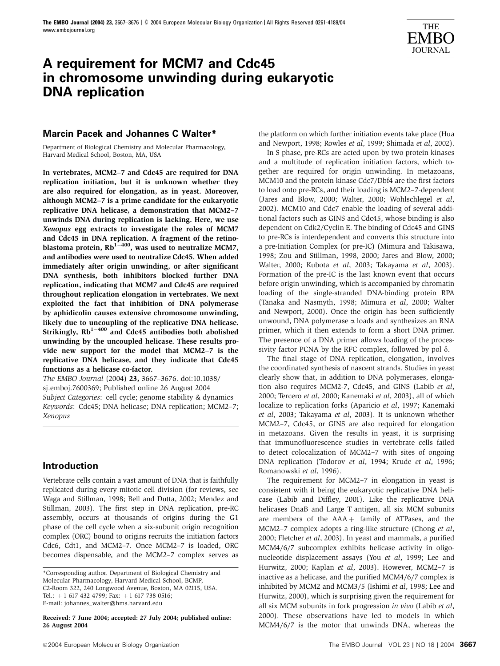

# **A requirement for MCM7 and Cdc45 in chromosome unwinding during eukaryotic DNA replication**

# **Marcin Pacek and Johannes C Walter\***

Department of Biological Chemistry and Molecular Pharmacology, Harvard Medical School, Boston, MA, USA

In vertebrates, MCM2–7 and Cdc45 are required for DNA replication initiation, but it is unknown whether they are also required for elongation, as in yeast. Moreover, although MCM2–7 is a prime candidate for the eukaryotic replicative DNA helicase, a demonstration that MCM2–7 unwinds DNA during replication is lacking. Here, we use Xenopus egg extracts to investigate the roles of MCM7 and Cdc45 in DNA replication. A fragment of the retinoblastoma protein,  $Rb^{1-400}$ , was used to neutralize MCM7, and antibodies were used to neutralize Cdc45. When added immediately after origin unwinding, or after significant DNA synthesis, both inhibitors blocked further DNA replication, indicating that MCM7 and Cdc45 are required throughout replication elongation in vertebrates. We next exploited the fact that inhibition of DNA polymerase by aphidicolin causes extensive chromosome unwinding, likely due to uncoupling of the replicative DNA helicase. Strikingly,  $Rb^{1-400}$  and Cdc45 antibodies both abolished unwinding by the uncoupled helicase. These results provide new support for the model that MCM2–7 is the replicative DNA helicase, and they indicate that Cdc45 functions as a helicase co-factor.

The EMBO Journal (2004) 23, 3667–3676. doi:10.1038/ sj.emboj.7600369; Published online 26 August 2004 Subject Categories: cell cycle; genome stability & dynamics Keywords: Cdc45; DNA helicase; DNA replication; MCM2–7; Xenopus

# **Introduction**

Vertebrate cells contain a vast amount of DNA that is faithfully replicated during every mitotic cell division (for reviews, see Waga and Stillman, 1998; Bell and Dutta, 2002; Mendez and Stillman, 2003). The first step in DNA replication, pre-RC assembly, occurs at thousands of origins during the G1 phase of the cell cycle when a six-subunit origin recognition complex (ORC) bound to origins recruits the initiation factors Cdc6, Cdt1, and MCM2–7. Once MCM2–7 is loaded, ORC becomes dispensable, and the MCM2–7 complex serves as

Received: 7 June 2004; accepted: 27 July 2004; published online: 26 August 2004

the platform on which further initiation events take place (Hua and Newport, 1998; Rowles et al, 1999; Shimada et al, 2002).

In S phase, pre-RCs are acted upon by two protein kinases and a multitude of replication initiation factors, which together are required for origin unwinding. In metazoans, MCM10 and the protein kinase Cdc7/Dbf4 are the first factors to load onto pre-RCs, and their loading is MCM2–7-dependent (Jares and Blow, 2000; Walter, 2000; Wohlschlegel et al, 2002). MCM10 and Cdc7 enable the loading of several additional factors such as GINS and Cdc45, whose binding is also dependent on Cdk2/Cyclin E. The binding of Cdc45 and GINS to pre-RCs is interdependent and converts this structure into a pre-Initiation Complex (or pre-IC) (Mimura and Takisawa, 1998; Zou and Stillman, 1998, 2000; Jares and Blow, 2000; Walter, 2000; Kubota et al, 2003; Takayama et al, 2003). Formation of the pre-IC is the last known event that occurs before origin unwinding, which is accompanied by chromatin loading of the single-stranded DNA-binding protein RPA (Tanaka and Nasmyth, 1998; Mimura et al, 2000; Walter and Newport, 2000). Once the origin has been sufficiently unwound, DNA polymerase  $\alpha$  loads and synthesizes an RNA primer, which it then extends to form a short DNA primer. The presence of a DNA primer allows loading of the processivity factor PCNA by the RFC complex, followed by pol  $\delta$ .

The final stage of DNA replication, elongation, involves the coordinated synthesis of nascent strands. Studies in yeast clearly show that, in addition to DNA polymerases, elongation also requires MCM2-7, Cdc45, and GINS (Labib et al, 2000; Tercero et al, 2000; Kanemaki et al, 2003), all of which localize to replication forks (Aparicio et al, 1997; Kanemaki et al, 2003; Takayama et al, 2003). It is unknown whether MCM2–7, Cdc45, or GINS are also required for elongation in metazoans. Given the results in yeast, it is surprising that immunofluorescence studies in vertebrate cells failed to detect colocalization of MCM2–7 with sites of ongoing DNA replication (Todorov et al, 1994; Krude et al, 1996; Romanowski et al, 1996).

The requirement for MCM2–7 in elongation in yeast is consistent with it being the eukaryotic replicative DNA helicase (Labib and Diffley, 2001). Like the replicative DNA helicases DnaB and Large T antigen, all six MCM subunits are members of the  $AAA +$  family of ATPases, and the MCM2–7 complex adopts a ring-like structure (Chong et al, 2000; Fletcher et al, 2003). In yeast and mammals, a purified MCM4/6/7 subcomplex exhibits helicase activity in oligonucleotide displacement assays (You et al, 1999; Lee and Hurwitz, 2000; Kaplan et al, 2003). However, MCM2–7 is inactive as a helicase, and the purified MCM4/6/7 complex is inhibited by MCM2 and MCM3/5 (Ishimi et al, 1998; Lee and Hurwitz, 2000), which is surprising given the requirement for all six MCM subunits in fork progression in vivo (Labib et al, 2000). These observations have led to models in which MCM4/6/7 is the motor that unwinds DNA, whereas the

<sup>\*</sup>Corresponding author. Department of Biological Chemistry and Molecular Pharmacology, Harvard Medical School, BCMP, C2-Room 322, 240 Longwood Avenue, Boston, MA 02115, USA. Tel.: +1 617 432 4799; Fax: +1 617 738 0516; E-mail: johannes\_walter@hms.harvard.edu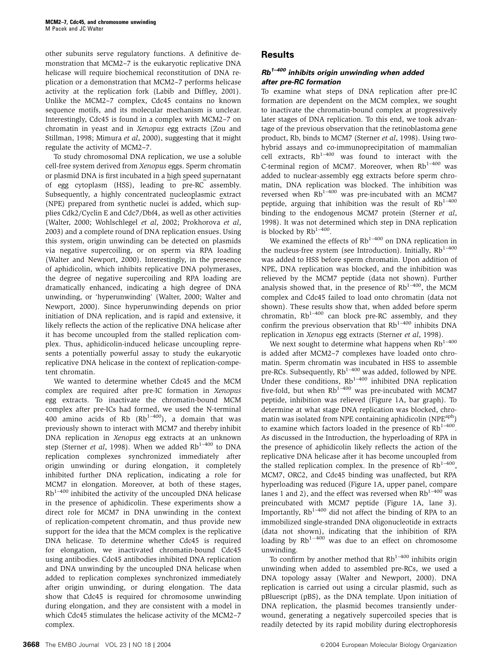other subunits serve regulatory functions. A definitive demonstration that MCM2–7 is the eukaryotic replicative DNA helicase will require biochemical reconstitution of DNA replication or a demonstration that MCM2–7 performs helicase activity at the replication fork (Labib and Diffley, 2001). Unlike the MCM2–7 complex, Cdc45 contains no known sequence motifs, and its molecular mechanism is unclear. Interestingly, Cdc45 is found in a complex with MCM2–7 on chromatin in yeast and in Xenopus egg extracts (Zou and Stillman, 1998; Mimura et al, 2000), suggesting that it might regulate the activity of MCM2–7.

To study chromosomal DNA replication, we use a soluble cell-free system derived from Xenopus eggs. Sperm chromatin or plasmid DNA is first incubated in a high speed supernatant of egg cytoplasm (HSS), leading to pre-RC assembly. Subsequently, a highly concentrated nucleoplasmic extract (NPE) prepared from synthetic nuclei is added, which supplies Cdk2/Cyclin E and Cdc7/Dbf4, as well as other activities (Walter, 2000; Wohlschlegel et al, 2002; Prokhorova et al, 2003) and a complete round of DNA replication ensues. Using this system, origin unwinding can be detected on plasmids via negative supercoiling, or on sperm via RPA loading (Walter and Newport, 2000). Interestingly, in the presence of aphidicolin, which inhibits replicative DNA polymerases, the degree of negative supercoiling and RPA loading are dramatically enhanced, indicating a high degree of DNA unwinding, or 'hyperunwinding' (Walter, 2000; Walter and Newport, 2000). Since hyperunwinding depends on prior initiation of DNA replication, and is rapid and extensive, it likely reflects the action of the replicative DNA helicase after it has become uncoupled from the stalled replication complex. Thus, aphidicolin-induced helicase uncoupling represents a potentially powerful assay to study the eukaryotic replicative DNA helicase in the context of replication-competent chromatin.

We wanted to determine whether Cdc45 and the MCM complex are required after pre-IC formation in Xenopus egg extracts. To inactivate the chromatin-bound MCM complex after pre-ICs had formed, we used the N-terminal 400 amino acids of Rb  $(Rb^{1-400})$ , a domain that was previously shown to interact with MCM7 and thereby inhibit DNA replication in Xenopus egg extracts at an unknown step (Sterner *et al*, 1998). When we added  $Rb^{1-400}$  to DNA replication complexes synchronized immediately after origin unwinding or during elongation, it completely inhibited further DNA replication, indicating a role for MCM7 in elongation. Moreover, at both of these stages,  $Rb^{1-400}$  inhibited the activity of the uncoupled DNA helicase in the presence of aphidicolin. These experiments show a direct role for MCM7 in DNA unwinding in the context of replication-competent chromatin, and thus provide new support for the idea that the MCM complex is the replicative DNA helicase. To determine whether Cdc45 is required for elongation, we inactivated chromatin-bound Cdc45 using antibodies. Cdc45 antibodies inhibited DNA replication and DNA unwinding by the uncoupled DNA helicase when added to replication complexes synchronized immediately after origin unwinding, or during elongation. The data show that Cdc45 is required for chromosome unwinding during elongation, and they are consistent with a model in which Cdc45 stimulates the helicase activity of the MCM2–7 complex.

# **Results**

### **Rb1–400 inhibits origin unwinding when added after pre-RC formation**

To examine what steps of DNA replication after pre-IC formation are dependent on the MCM complex, we sought to inactivate the chromatin-bound complex at progressively later stages of DNA replication. To this end, we took advantage of the previous observation that the retinoblastoma gene product, Rb, binds to MCM7 (Sterner et al, 1998). Using twohybrid assays and co-immunoprecipitation of mammalian cell extracts,  $Rb^{1-400}$  was found to interact with the C-terminal region of MCM7. Moreover, when  $Rb^{1-400}$  was added to nuclear-assembly egg extracts before sperm chromatin, DNA replication was blocked. The inhibition was reversed when Rb<sup>1-400</sup> was pre-incubated with an MCM7 peptide, arguing that inhibition was the result of  $Rb^{1-400}$ binding to the endogenous MCM7 protein (Sterner et al, 1998). It was not determined which step in DNA replication is blocked by  $Rb^{1-400}$ .

We examined the effects of  $Rb^{1-400}$  on DNA replication in the nucleus-free system (see Introduction). Initially,  $Rb^{1-400}$ was added to HSS before sperm chromatin. Upon addition of NPE, DNA replication was blocked, and the inhibition was relieved by the MCM7 peptide (data not shown). Further analysis showed that, in the presence of  $Rb^{1-400}$ , the MCM complex and Cdc45 failed to load onto chromatin (data not shown). These results show that, when added before sperm chromatin,  $Rb^{1-400}$  can block pre-RC assembly, and they confirm the previous observation that  $Rb^{1-400}$  inhibits DNA replication in Xenopus egg extracts (Sterner et al, 1998).

We next sought to determine what happens when  $Rb^{1-400}$ is added after MCM2–7 complexes have loaded onto chromatin. Sperm chromatin was incubated in HSS to assemble pre-RCs. Subsequently, Rb<sup>1-400</sup> was added, followed by NPE. Under these conditions,  $Rb^{1-400}$  inhibited DNA replication five-fold, but when  $Rb^{1-400}$  was pre-incubated with MCM7 peptide, inhibition was relieved (Figure 1A, bar graph). To determine at what stage DNA replication was blocked, chromatin was isolated from NPE containing aphidicolin (NPE<sup>aph</sup>) to examine which factors loaded in the presence of  $Rb^{1-400}$ . As discussed in the Introduction, the hyperloading of RPA in the presence of aphidicolin likely reflects the action of the replicative DNA helicase after it has become uncoupled from the stalled replication complex. In the presence of  $Rb^{1-400}$ , MCM7, ORC2, and Cdc45 binding was unaffected, but RPA hyperloading was reduced (Figure 1A, upper panel, compare lanes 1 and 2), and the effect was reversed when  $Rb^{1-400}$  was preincubated with MCM7 peptide (Figure 1A, lane 3). Importantly,  $Rb^{1-400}$  did not affect the binding of RPA to an immobilized single-stranded DNA oligonucleotide in extracts (data not shown), indicating that the inhibition of RPA loading by  $Rb^{1-400}$  was due to an effect on chromosome unwinding.

To confirm by another method that  $Rb^{1-400}$  inhibits origin unwinding when added to assembled pre-RCs, we used a DNA topology assay (Walter and Newport, 2000). DNA replication is carried out using a circular plasmid, such as pBluescript (pBS), as the DNA template. Upon initiation of DNA replication, the plasmid becomes transiently underwound, generating a negatively supercoiled species that is readily detected by its rapid mobility during electrophoresis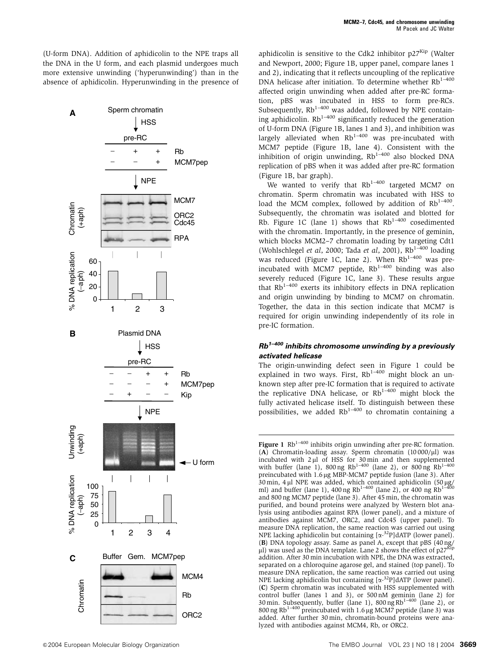(U-form DNA). Addition of aphidicolin to the NPE traps all the DNA in the U form, and each plasmid undergoes much more extensive unwinding ('hyperunwinding') than in the absence of aphidicolin. Hyperunwinding in the presence of



aphidicolin is sensitive to the Cdk2 inhibitor  $p27^{Kip}$  (Walter and Newport, 2000; Figure 1B, upper panel, compare lanes 1 and 2), indicating that it reflects uncoupling of the replicative DNA helicase after initiation. To determine whether  $Rb^{1-400}$ affected origin unwinding when added after pre-RC formation, pBS was incubated in HSS to form pre-RCs. Subsequently,  $Rb^{1-400}$  was added, followed by NPE containing aphidicolin.  $Rb^{1-400}$  significantly reduced the generation of U-form DNA (Figure 1B, lanes 1 and 3), and inhibition was If  $U$ -101111 DIVA (Figure 1D, tance 1 and 0), and announced the largely alleviated when  $Rb^{1-400}$  was pre-incubated with MCM7 peptide (Figure 1B, lane 4). Consistent with the inhibition of origin unwinding,  $Rb^{1-400}$  also blocked DNA replication of pBS when it was added after pre-RC formation (Figure 1B, bar graph).

We wanted to verify that  $Rb^{1-400}$  targeted MCM7 on chromatin. Sperm chromatin was incubated with HSS to load the MCM complex, followed by addition of  $Rb^{1-400}$ . Subsequently, the chromatin was isolated and blotted for Rb. Figure 1C (lane 1) shows that  $Rb^{1-400}$  cosedimented with the chromatin. Importantly, in the presence of geminin, which blocks MCM2–7 chromatin loading by targeting Cdt1 (Wohlschlegel et al, 2000; Tada et al, 2001),  $Rb^{1-400}$  loading was reduced (Figure 1C, lane 2). When  $Rb^{1-400}$  was preincubated with MCM7 peptide,  $Rb^{1-400}$  binding was also severely reduced (Figure 1C, lane 3). These results argue that  $Rb^{1-400}$  exerts its inhibitory effects in DNA replication and origin unwinding by binding to MCM7 on chromatin. Together, the data in this section indicate that MCM7 is required for origin unwinding independently of its role in pre-IC formation.

#### **Rb1–400 inhibits chromosome unwinding by a previously activated helicase**

The origin-unwinding defect seen in Figure 1 could be explained in two ways. First,  $Rb^{1-400}$  might block an unknown step after pre-IC formation that is required to activate the replicative DNA helicase, or  $Rb^{1-400}$  might block the fully activated helicase itself. To distinguish between these possibilities, we added  $Rb^{1-400}$  to chromatin containing a

**Figure 1**  $Rb^{1-400}$  inhibits origin unwinding after pre-RC formation.  $(A)$  Chromatin-loading assay. Sperm chromatin  $(10000/\mu l)$  was incubated with 2 µl of HSS for 30 min and then supplemented with buffer (lane 1), 800 ng  $Rb^{1-400}$  (lane 2), or 800 ng  $Rb^{1-400}$ preincubated with 1.6 µg MBP-MCM7 peptide fusion (lane 3). After 30 min, 4  $\mu$ l NPE was added, which contained aphidicolin (50  $\mu$ g/ml) and buffer (lane 1), 400 ng Rb<sup>1–400</sup> (lane 2), or 400 ng Rb<sup>1–400</sup> and 800 ng MCM7 peptide (lane 3). After 45 min, the chromatin was purified, and bound proteins were analyzed by Western blot analysis using antibodies against RPA (lower panel), and a mixture of antibodies against MCM7, ORC2, and Cdc45 (upper panel). To measure DNA replication, the same reaction was carried out using NPE lacking aphidicolin but containing  $[\alpha^{-32}P]$ dATP (lower panel). (B) DNA topology assay. Same as panel A, except that pBS (40 ng/ ul) was used as the DNA template. Lane 2 shows the effect of  $p27<sup>Kip</sup>$ addition. After 30 min incubation with NPE, the DNA was extracted, separated on a chloroquine agarose gel, and stained (top panel). To measure DNA replication, the same reaction was carried out using NPE lacking aphidicolin but containing  $[\alpha^{-32}P]$ dATP (lower panel). (C) Sperm chromatin was incubated with HSS supplemented with control buffer (lanes 1 and 3), or 500 nM geminin (lane 2) for 30 min. Subsequently, buffer (lane 1), 800 ng Rb<sup>1-400</sup> (lane 2), or 800 ng Rb<sup>1-400</sup> preincubated with 1.6 µg MCM7 peptide (lane 3) was added. After further 30 min, chromatin-bound proteins were analyzed with antibodies against MCM4, Rb, or ORC2.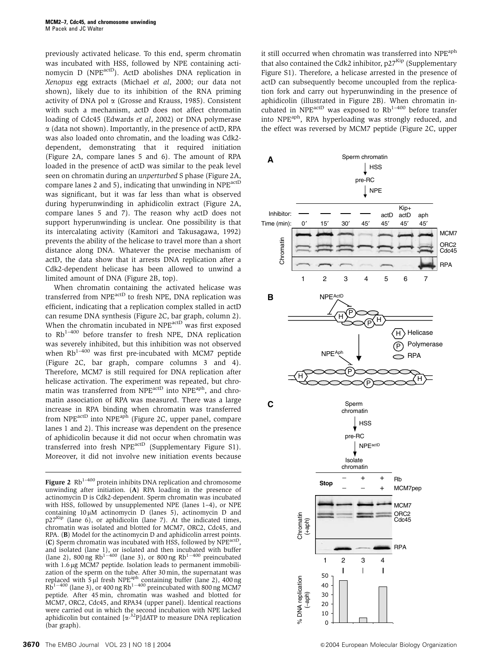previously activated helicase. To this end, sperm chromatin was incubated with HSS, followed by NPE containing actinomycin D (NPE<sup>actD</sup>). ActD abolishes DNA replication in Xenopus egg extracts (Michael et al, 2000; our data not shown), likely due to its inhibition of the RNA priming activity of DNA pol  $\alpha$  (Grosse and Krauss, 1985). Consistent with such a mechanism, actD does not affect chromatin loading of Cdc45 (Edwards et al, 2002) or DNA polymerase  $\alpha$  (data not shown). Importantly, in the presence of actD, RPA was also loaded onto chromatin, and the loading was Cdk2 dependent, demonstrating that it required initiation (Figure 2A, compare lanes 5 and 6). The amount of RPA loaded in the presence of actD was similar to the peak level seen on chromatin during an unperturbed S phase (Figure 2A, compare lanes 2 and 5), indicating that unwinding in NPEactD was significant, but it was far less than what is observed during hyperunwinding in aphidicolin extract (Figure 2A, compare lanes 5 and 7). The reason why actD does not support hyperunwinding is unclear. One possibility is that its intercalating activity (Kamitori and Takusagawa, 1992) prevents the ability of the helicase to travel more than a short distance along DNA. Whatever the precise mechanism of actD, the data show that it arrests DNA replication after a Cdk2-dependent helicase has been allowed to unwind a limited amount of DNA (Figure 2B, top).

When chromatin containing the activated helicase was transferred from NPE<sup>actD</sup> to fresh NPE, DNA replication was efficient, indicating that a replication complex stalled in actD can resume DNA synthesis (Figure 2C, bar graph, column 2). When the chromatin incubated in NPE<sup>actD</sup> was first exposed to  $Rb^{1-400}$  before transfer to fresh NPE, DNA replication was severely inhibited, but this inhibition was not observed when  $Rb^{1-400}$  was first pre-incubated with MCM7 peptide (Figure 2C, bar graph, compare columns 3 and 4). Therefore, MCM7 is still required for DNA replication after helicase activation. The experiment was repeated, but chromatin was transferred from NPE<sup>actD</sup> into NPE<sup>aph</sup>, and chromatin association of RPA was measured. There was a large increase in RPA binding when chromatin was transferred from NPE<sup>actD</sup> into NPE<sup>aph</sup> (Figure 2C, upper panel, compare lanes 1 and 2). This increase was dependent on the presence of aphidicolin because it did not occur when chromatin was transferred into fresh NPE<sup>actD</sup> (Supplementary Figure S1). Moreover, it did not involve new initiation events because it still occurred when chromatin was transferred into NPE<sup>aph</sup> that also contained the Cdk2 inhibitor,  $p27<sup>Kip</sup>$  (Supplementary Figure S1). Therefore, a helicase arrested in the presence of actD can subsequently become uncoupled from the replication fork and carry out hyperunwinding in the presence of aphidicolin (illustrated in Figure 2B). When chromatin incubated in NPE<sup>actD</sup> was exposed to  $Rb^{1-400}$  before transfer into NPEaph, RPA hyperloading was strongly reduced, and the effect was reversed by MCM7 peptide (Figure 2C, upper



Figure 2 Rb<sup>1–400</sup> protein inhibits DNA replication and chromosome unwinding after initiation. (A) RPA loading in the presence of actinomycin D is Cdk2-dependent. Sperm chromatin was incubated with HSS, followed by unsupplemented NPE (lanes 1–4), or NPE containing  $10 \mu$ M actinomycin D (lanes 5), actinomycin D and  $p27<sup>Kip</sup>$  (lane 6), or aphidicolin (lane 7). At the indicated times, chromatin was isolated and blotted for MCM7, ORC2, Cdc45, and RPA. (B) Model for the actinomycin D and aphidicolin arrest points. (C) Sperm chromatin was incubated with HSS, followed by  $NPE^{act}$ and isolated (lane 1), or isolated and then incubated with buffer (lane 2), 800 ng Rb<sup>1–400</sup> (lane 3), or 800 ng Rb<sup>1–400</sup> preincubated with 1.6 µg MCM7 peptide. Isolation leads to permanent immobilization of the sperm on the tube. After 30 min, the supernatant was replaced with  $5 \mu$ l fresh NPE<sup>aph</sup> containing buffer (lane 2), 400 ng Rb<sup>1-400</sup> (lane 3), or 400 ng Rb<sup>1-400</sup> preincubated with 800 ng MCM7 peptide. After 45 min, chromatin was washed and blotted for MCM7, ORC2, Cdc45, and RPA34 (upper panel). Identical reactions were carried out in which the second incubation with NPE lacked aphidicolin but contained  $[\alpha^{32}P]$ dATP to measure DNA replication (bar graph).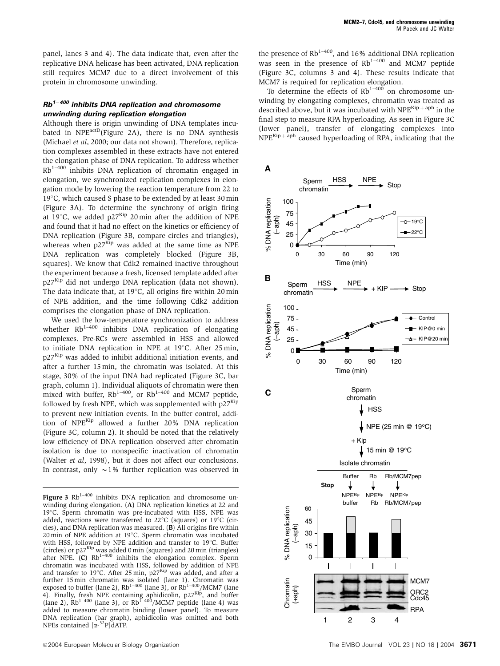panel, lanes 3 and 4). The data indicate that, even after the replicative DNA helicase has been activated, DNA replication still requires MCM7 due to a direct involvement of this protein in chromosome unwinding.

### **Rb1<sup>400</sup> inhibits DNA replication and chromosome unwinding during replication elongation**

Although there is origin unwinding of DNA templates incubated in NPE<sup>actD</sup>(Figure 2A), there is no DNA synthesis (Michael et al, 2000; our data not shown). Therefore, replication complexes assembled in these extracts have not entered the elongation phase of DNA replication. To address whether  $Rb^{1-400}$  inhibits DNA replication of chromatin engaged in elongation, we synchronized replication complexes in elongation mode by lowering the reaction temperature from 22 to 19 $^{\circ}$ C, which caused S phase to be extended by at least 30 min (Figure 3A). To determine the synchrony of origin firing at  $19^{\circ}$ C, we added p27<sup>Kip</sup> 20 min after the addition of NPE and found that it had no effect on the kinetics or efficiency of DNA replication (Figure 3B, compare circles and triangles), whereas when p27<sup>Kip</sup> was added at the same time as NPE DNA replication was completely blocked (Figure 3B, squares). We know that Cdk2 remained inactive throughout the experiment because a fresh, licensed template added after p27Kip did not undergo DNA replication (data not shown). The data indicate that, at  $19^{\circ}$ C, all origins fire within 20 min of NPE addition, and the time following Cdk2 addition comprises the elongation phase of DNA replication.

We used the low-temperature synchronization to address whether Rb<sup>1-400</sup> inhibits DNA replication of elongating complexes. Pre-RCs were assembled in HSS and allowed to initiate DNA replication in NPE at  $19^{\circ}$ C. After 25 min, p27<sup>Kip</sup> was added to inhibit additional initiation events, and after a further 15 min, the chromatin was isolated. At this stage, 30% of the input DNA had replicated (Figure 3C, bar graph, column 1). Individual aliquots of chromatin were then mixed with buffer,  $Rb^{1-400}$ , or  $Rb^{1-400}$  and MCM7 peptide, followed by fresh NPE, which was supplemented with  $p27<sup>Kip</sup>$ to prevent new initiation events. In the buffer control, addition of NPE<sup>Kip</sup> allowed a further 20% DNA replication (Figure 3C, column 2). It should be noted that the relatively low efficiency of DNA replication observed after chromatin isolation is due to nonspecific inactivation of chromatin (Walter et al, 1998), but it does not affect our conclusions. In contrast, only  $\sim$  1% further replication was observed in the presence of  $Rb^{1-400}$ , and 16% additional DNA replication was seen in the presence of  $Rb^{1-400}$  and MCM7 peptide (Figure 3C, columns 3 and 4). These results indicate that MCM7 is required for replication elongation.

To determine the effects of  $Rb^{1-400}$  on chromosome unwinding by elongating complexes, chromatin was treated as described above, but it was incubated with  $NPE<sup>Kip + apph</sup>$  in the final step to measure RPA hyperloading. As seen in Figure 3C (lower panel), transfer of elongating complexes into  $NPE<sup>Kip + apph</sup>$  caused hyperloading of RPA, indicating that the



Figure 3  $Rb^{1-400}$  inhibits DNA replication and chromosome unwinding during elongation. (A) DNA replication kinetics at 22 and 19°C. Sperm chromatin was pre-incubated with HSS, NPE was added, reactions were transferred to  $22^{\circ}C$  (squares) or  $19^{\circ}C$  (circles), and DNA replication was measured. (B) All origins fire within  $20 \text{ min}$  of NPE addition at 19 $^{\circ}$ C. Sperm chromatin was incubated with HSS, followed by NPE addition and transfer to  $19^{\circ}$ C. Buffer (circles) or p27<sup>Kip</sup> was added 0 min (squares) and 20 min (triangles) after NPE.  $(C)$  Rb<sup>1–400</sup> inhibits the elongation complex. Sperm chromatin was incubated with HSS, followed by addition of NPE and transfer to 19°C. After 25 min,  $p27<sup>Kip</sup>$  was added, and after a further 15 min chromatin was isolated (lane 1). Chromatin was<br>exposed to buffer (lane 2), Rb<sup>1–400</sup> (lane 3), or Rb<sup>1–400</sup>/MCM7 (lane 4). Finally, fresh NPE containing aphidicolin, p27<sup>Kip</sup>, and buffer (lane 2),  $Rb^{1-400}$  (lane 3), or  $Rb^{1-400}/MCM7$  peptide (lane 4) was added to measure chromatin binding (lower panel). To measure DNA replication (bar graph), aphidicolin was omitted and both NPEs contained [a-<sup>32</sup>P]dATP.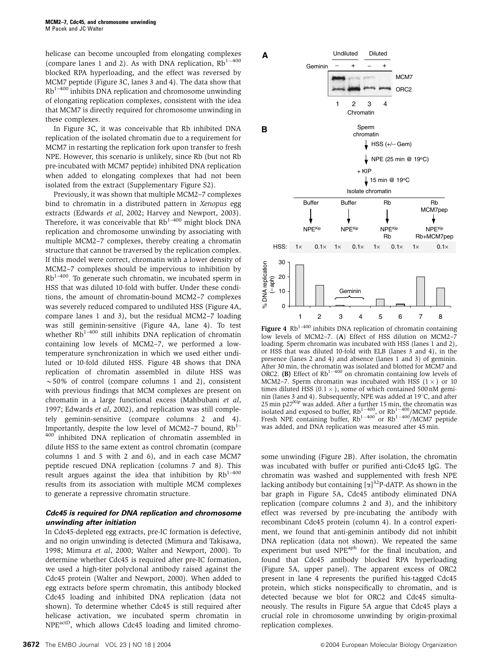helicase can become uncoupled from elongating complexes (compare lanes 1 and 2). As with DNA replication,  $Rb^{1-400}$ blocked RPA hyperloading, and the effect was reversed by MCM7 peptide (Figure 3C, lanes 3 and 4). The data show that  $Rb^{1-400}$  inhibits DNA replication and chromosome unwinding of elongating replication complexes, consistent with the idea that MCM7 is directly required for chromosome unwinding in these complexes.

In Figure 3C, it was conceivable that Rb inhibited DNA replication of the isolated chromatin due to a requirement for MCM7 in restarting the replication fork upon transfer to fresh NPE. However, this scenario is unlikely, since Rb (but not Rb pre-incubated with MCM7 peptide) inhibited DNA replication when added to elongating complexes that had not been isolated from the extract (Supplementary Figure S2).

Previously, it was shown that multiple MCM2–7 complexes bind to chromatin in a distributed pattern in Xenopus egg extracts (Edwards et al, 2002; Harvey and Newport, 2003). Therefore, it was conceivable that  $Rb^{1-400}$  might block DNA replication and chromosome unwinding by associating with multiple MCM2–7 complexes, thereby creating a chromatin structure that cannot be traversed by the replication complex. If this model were correct, chromatin with a lower density of MCM2–7 complexes should be impervious to inhibition by  $Rb^{1-400}$ . To generate such chromatin, we incubated sperm in HSS that was diluted 10-fold with buffer. Under these conditions, the amount of chromatin-bound MCM2–7 complexes was severely reduced compared to undiluted HSS (Figure 4A, compare lanes 1 and 3), but the residual MCM2–7 loading was still geminin-sensitive (Figure 4A, lane 4). To test whether  $Rb^{1-400}$  still inhibits DNA replication of chromatin containing low levels of MCM2–7, we performed a lowtemperature synchronization in which we used either undiluted or 10-fold diluted HSS. Figure 4B shows that DNA replication of chromatin assembled in dilute HSS was  $\sim$  50% of control (compare columns 1 and 2), consistent with previous findings that MCM complexes are present on chromatin in a large functional excess (Mahbubani et al, 1997; Edwards et al, 2002), and replication was still completely geminin-sensitive (compare columns 2 and 4). Importantly, despite the low level of MCM2–7 bound,  $Rb^{1-}$ 400 inhibited DNA replication of chromatin assembled in dilute HSS to the same extent as control chromatin (compare columns 1 and 5 with 2 and 6), and in each case MCM7 peptide rescued DNA replication (columns 7 and 8). This result argues against the idea that inhibition by  $Rb^{1-400}$ results from its association with multiple MCM complexes to generate a repressive chromatin structure.

#### **Cdc45 is required for DNA replication and chromosome unwinding after initiation**

In Cdc45-depleted egg extracts, pre-IC formation is defective, and no origin unwinding is detected (Mimura and Takisawa, 1998; Mimura et al, 2000; Walter and Newport, 2000). To determine whether Cdc45 is required after pre-IC formation, we used a high-titer polyclonal antibody raised against the Cdc45 protein (Walter and Newport, 2000). When added to egg extracts before sperm chromatin, this antibody blocked Cdc45 loading and inhibited DNA replication (data not shown). To determine whether Cdc45 is still required after helicase activation, we incubated sperm chromatin in NPEactD, which allows Cdc45 loading and limited chromo-



Figure 4  $Rb^{1-400}$  inhibits DNA replication of chromatin containing low levels of MCM2–7. (A) Effect of HSS dilution on MCM2–7 loading. Sperm chromatin was incubated with HSS (lanes 1 and 2), or HSS that was diluted 10-fold with ELB (lanes 3 and 4), in the presence (lanes 2 and 4) and absence (lanes 1 and 3) of geminin. After 30 min, the chromatin was isolated and blotted for MCM7 and ORC2. (B) Effect of  $Rb^{1-400}$  on chromatin containing low levels of MCM2–7. Sperm chromatin was incubated with HSS  $(1 \times)$  or 10 times diluted HSS ( $0.1 \times$ ), some of which contained 500 nM geminin (lanes 3 and 4). Subsequently, NPE was added at  $19^{\circ}$ C, and after  $25$  min p $27<sup>Kip</sup>$  was added. After a further 15 min, the chromatin was isolated and exposed to buffer,  $Rb^{1-400}$ , or  $Rb^{1-400}/MCM7$  peptide. Fresh NPE containing buffer,  $Rb^{1-400}$  or  $Rb^{1-400}/MCM7$  peptide was added, and DNA replication was measured after 45 min.

some unwinding (Figure 2B). After isolation, the chromatin was incubated with buffer or purified anti-Cdc45 IgG. The chromatin was washed and supplemented with fresh NPE lacking antibody but containing  $\left[\alpha\right]^{32}$ P-dATP. As shown in the bar graph in Figure 5A, Cdc45 antibody eliminated DNA replication (compare columns 2 and 3), and the inhibitory effect was reversed by pre-incubating the antibody with recombinant Cdc45 protein (column 4). In a control experiment, we found that anti-geminin antibody did not inhibit DNA replication (data not shown). We repeated the same experiment but used NPE<sup>aph</sup> for the final incubation, and found that Cdc45 antibody blocked RPA hyperloading (Figure 5A, upper panel). The apparent excess of ORC2 present in lane 4 represents the purified his-tagged Cdc45 protein, which sticks nonspecifically to chromatin, and is detected because we blot for ORC2 and Cdc45 simultaneously. The results in Figure 5A argue that Cdc45 plays a crucial role in chromosome unwinding by origin-proximal replication complexes.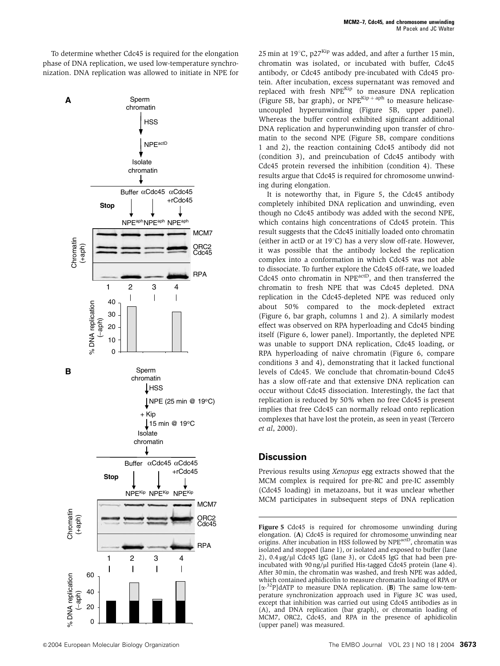To determine whether Cdc45 is required for the elongation phase of DNA replication, we used low-temperature synchronization. DNA replication was allowed to initiate in NPE for



25 min at 19 $^{\circ}$ C, p27<sup>Kip</sup> was added, and after a further 15 min, chromatin was isolated, or incubated with buffer, Cdc45 antibody, or Cdc45 antibody pre-incubated with Cdc45 protein. After incubation, excess supernatant was removed and replaced with fresh NPE<sup>Kip</sup> to measure DNA replication (Figure 5B, bar graph), or NPE<sup>Kip+aph</sup> to measure helicaseuncoupled hyperunwinding (Figure 5B, upper panel). Whereas the buffer control exhibited significant additional DNA replication and hyperunwinding upon transfer of chromatin to the second NPE (Figure 5B, compare conditions 1 and 2), the reaction containing Cdc45 antibody did not (condition 3), and preincubation of Cdc45 antibody with Cdc45 protein reversed the inhibition (condition 4). These results argue that Cdc45 is required for chromosome unwinding during elongation.

It is noteworthy that, in Figure 5, the Cdc45 antibody completely inhibited DNA replication and unwinding, even though no Cdc45 antibody was added with the second NPE, which contains high concentrations of Cdc45 protein. This result suggests that the Cdc45 initially loaded onto chromatin (either in actD or at  $19^{\circ}$ C) has a very slow off-rate. However, it was possible that the antibody locked the replication complex into a conformation in which Cdc45 was not able to dissociate. To further explore the Cdc45 off-rate, we loaded Cdc45 onto chromatin in NPE<sup>actD</sup>, and then transferred the chromatin to fresh NPE that was Cdc45 depleted. DNA replication in the Cdc45-depleted NPE was reduced only about 50% compared to the mock-depleted extract (Figure 6, bar graph, columns 1 and 2). A similarly modest effect was observed on RPA hyperloading and Cdc45 binding itself (Figure 6, lower panel). Importantly, the depleted NPE was unable to support DNA replication, Cdc45 loading, or RPA hyperloading of naive chromatin (Figure 6, compare conditions 3 and 4), demonstrating that it lacked functional levels of Cdc45. We conclude that chromatin-bound Cdc45 has a slow off-rate and that extensive DNA replication can occur without Cdc45 dissociation. Interestingly, the fact that replication is reduced by 50% when no free Cdc45 is present implies that free Cdc45 can normally reload onto replication complexes that have lost the protein, as seen in yeast (Tercero et al, 2000).

## **Discussion**

Previous results using Xenopus egg extracts showed that the MCM complex is required for pre-RC and pre-IC assembly (Cdc45 loading) in metazoans, but it was unclear whether MCM participates in subsequent steps of DNA replication

Figure 5 Cdc45 is required for chromosome unwinding during elongation. (A) Cdc45 is required for chromosome unwinding near origins. After incubation in HSS followed by NPE<sup>actD</sup>, chromatin was isolated and stopped (lane 1), or isolated and exposed to buffer (lane 2),  $0.4 \mu$ g/ $\mu$ l Cdc45 IgG (lane 3), or Cdc45 IgG that had been preincubated with  $90 \frac{\text{ng}}{\mu}$  purified His-tagged Cdc45 protein (lane 4). After 30 min, the chromatin was washed, and fresh NPE was added, which contained aphidicolin to measure chromatin loading of RPA or [ $\alpha$ <sup>-32</sup>P]dATP to measure DNA replication. (B) The same low-temperature synchronization approach used in Figure 3C was used, except that inhibition was carried out using Cdc45 antibodies as in (A), and DNA replication (bar graph), or chromatin loading of MCM7, ORC2, Cdc45, and RPA in the presence of aphidicolin (upper panel) was measured.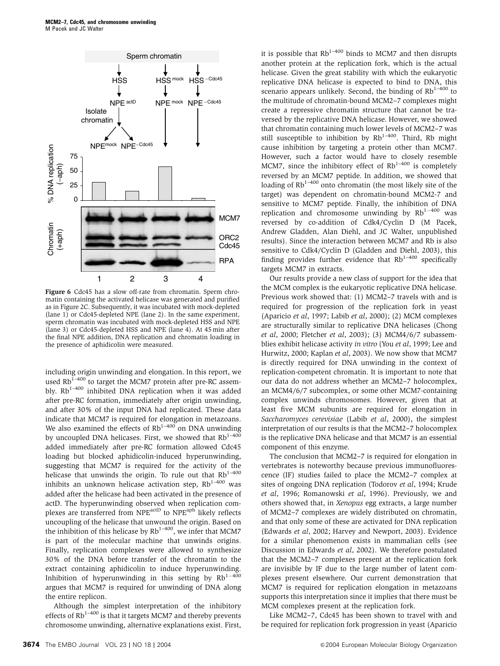

Figure 6 Cdc45 has a slow off-rate from chromatin. Sperm chromatin containing the activated helicase was generated and purified as in Figure 2C. Subsequently, it was incubated with mock-depleted (lane 1) or Cdc45-depleted NPE (lane 2). In the same experiment, sperm chromatin was incubated with mock-depleted HSS and NPE (lane 3) or Cdc45-depleted HSS and NPE (lane 4). At 45 min after the final NPE addition, DNA replication and chromatin loading in the presence of aphidicolin were measured.

including origin unwinding and elongation. In this report, we used  $Rb^{1-400}$  to target the MCM7 protein after pre-RC assembly. Rb<sup>1-400</sup> inhibited DNA replication when it was added after pre-RC formation, immediately after origin unwinding, and after 30% of the input DNA had replicated. These data indicate that MCM7 is required for elongation in metazoans. We also examined the effects of  $Rb^{1-400}$  on DNA unwinding by uncoupled DNA helicases. First, we showed that  $Rb^{1-400}$ added immediately after pre-RC formation allowed Cdc45 loading but blocked aphidicolin-induced hyperunwinding, suggesting that MCM7 is required for the activity of the helicase that unwinds the origin. To rule out that  $Rb^{1-400}$ inhibits an unknown helicase activation step,  $Rb^{1-400}$  was added after the helicase had been activated in the presence of actD. The hyperunwinding observed when replication complexes are transferred from NPE<sup>actD</sup> to NPE<sup>aph</sup> likely reflects uncoupling of the helicase that unwound the origin. Based on the inhibition of this helicase by  $Rb^{1-400}$ , we infer that MCM7 is part of the molecular machine that unwinds origins. Finally, replication complexes were allowed to synthesize 30% of the DNA before transfer of the chromatin to the extract containing aphidicolin to induce hyperunwinding. Inhibition of hyperunwinding in this setting by  $Rb^{1-400}$ argues that MCM7 is required for unwinding of DNA along the entire replicon.

Although the simplest interpretation of the inhibitory effects of  $Rb^{1-400}$  is that it targets MCM7 and thereby prevents chromosome unwinding, alternative explanations exist. First, it is possible that  $Rb^{1-400}$  binds to MCM7 and then disrupts another protein at the replication fork, which is the actual helicase. Given the great stability with which the eukaryotic replicative DNA helicase is expected to bind to DNA, this scenario appears unlikely. Second, the binding of  $Rb^{1-400}$  to the multitude of chromatin-bound MCM2–7 complexes might create a repressive chromatin structure that cannot be traversed by the replicative DNA helicase. However, we showed that chromatin containing much lower levels of MCM2–7 was still susceptible to inhibition by  $Rb^{1-400}$ . Third, Rb might cause inhibition by targeting a protein other than MCM7. However, such a factor would have to closely resemble MCM7, since the inhibitory effect of  $Rb^{1-400}$  is completely reversed by an MCM7 peptide. In addition, we showed that loading of  $Rb^{1-400}$  onto chromatin (the most likely site of the target) was dependent on chromatin-bound MCM2-7 and sensitive to MCM7 peptide. Finally, the inhibition of DNA replication and chromosome unwinding by  $Rb^{1-400}$  was reversed by co-addition of Cdk4/Cyclin D (M Pacek, Andrew Gladden, Alan Diehl, and JC Walter, unpublished results). Since the interaction between MCM7 and Rb is also sensitive to Cdk4/Cyclin D (Gladden and Diehl, 2003), this finding provides further evidence that  $Rb^{1-400}$  specifically targets MCM7 in extracts.

Our results provide a new class of support for the idea that the MCM complex is the eukaryotic replicative DNA helicase. Previous work showed that: (1) MCM2–7 travels with and is required for progression of the replication fork in yeast (Aparicio et al, 1997; Labib et al, 2000); (2) MCM complexes are structurally similar to replicative DNA helicases (Chong et al, 2000; Fletcher et al, 2003); (3) MCM4/6/7 subassemblies exhibit helicase activity in vitro (You et al, 1999; Lee and Hurwitz, 2000; Kaplan et al, 2003). We now show that MCM7 is directly required for DNA unwinding in the context of replication-competent chromatin. It is important to note that our data do not address whether an MCM2–7 holocomplex, an MCM4/6/7 subcomplex, or some other MCM7-containing complex unwinds chromosomes. However, given that at least five MCM subunits are required for elongation in Saccharomyces cerevisiae (Labib et al, 2000), the simplest interpretation of our results is that the MCM2–7 holocomplex is the replicative DNA helicase and that MCM7 is an essential component of this enzyme.

The conclusion that MCM2–7 is required for elongation in vertebrates is noteworthy because previous immunofluorescence (IF) studies failed to place the MCM2–7 complex at sites of ongoing DNA replication (Todorov et al, 1994; Krude et al, 1996; Romanowski et al, 1996). Previously, we and others showed that, in Xenopus egg extracts, a large number of MCM2–7 complexes are widely distributed on chromatin, and that only some of these are activated for DNA replication (Edwards et al, 2002; Harvey and Newport, 2003). Evidence for a similar phenomenon exists in mammalian cells (see Discussion in Edwards et al, 2002). We therefore postulated that the MCM2–7 complexes present at the replication fork are invisible by IF due to the large number of latent complexes present elsewhere. Our current demonstration that MCM7 is required for replication elongation in metazoans supports this interpretation since it implies that there must be MCM complexes present at the replication fork.

Like MCM2–7, Cdc45 has been shown to travel with and be required for replication fork progression in yeast (Aparicio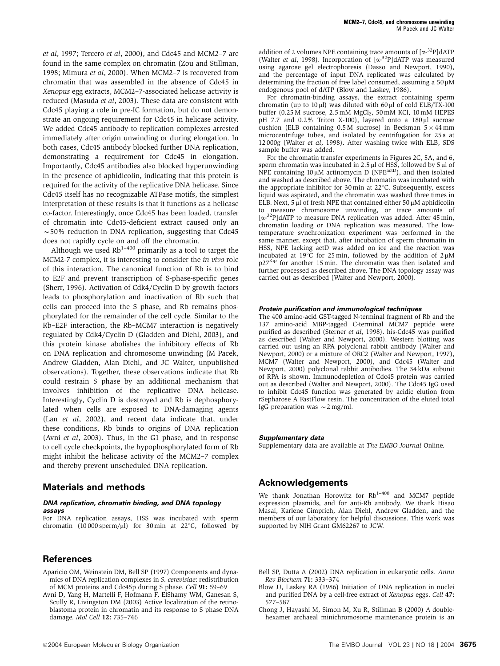et al, 1997; Tercero et al, 2000), and Cdc45 and MCM2–7 are found in the same complex on chromatin (Zou and Stillman, 1998; Mimura et al, 2000). When MCM2–7 is recovered from chromatin that was assembled in the absence of Cdc45 in Xenopus egg extracts, MCM2–7-associated helicase activity is reduced (Masuda et al, 2003). These data are consistent with Cdc45 playing a role in pre-IC formation, but do not demonstrate an ongoing requirement for Cdc45 in helicase activity. We added Cdc45 antibody to replication complexes arrested immediately after origin unwinding or during elongation. In both cases, Cdc45 antibody blocked further DNA replication, demonstrating a requirement for Cdc45 in elongation. Importantly, Cdc45 antibodies also blocked hyperunwinding in the presence of aphidicolin, indicating that this protein is required for the activity of the replicative DNA helicase. Since Cdc45 itself has no recognizable ATPase motifs, the simplest interpretation of these results is that it functions as a helicase co-factor. Interestingly, once Cdc45 has been loaded, transfer of chromatin into Cdc45-deficient extract caused only an  $\sim$  50% reduction in DNA replication, suggesting that Cdc45 does not rapidly cycle on and off the chromatin.

Although we used  $Rb^{1-400}$  primarily as a tool to target the MCM2-7 complex, it is interesting to consider the in vivo role of this interaction. The canonical function of Rb is to bind to E2F and prevent transcription of S-phase-specific genes (Sherr, 1996). Activation of Cdk4/Cyclin D by growth factors leads to phosphorylation and inactivation of Rb such that cells can proceed into the S phase, and Rb remains phosphorylated for the remainder of the cell cycle. Similar to the Rb–E2F interaction, the Rb–MCM7 interaction is negatively regulated by Cdk4/Cyclin D (Gladden and Diehl, 2003), and this protein kinase abolishes the inhibitory effects of Rb on DNA replication and chromosome unwinding (M Pacek, Andrew Gladden, Alan Diehl, and JC Walter, unpublished observations). Together, these observations indicate that Rb could restrain S phase by an additional mechanism that involves inhibition of the replicative DNA helicase. Interestingly, Cyclin D is destroyed and Rb is dephosphorylated when cells are exposed to DNA-damaging agents (Lan et al, 2002), and recent data indicate that, under these conditions, Rb binds to origins of DNA replication (Avni et al, 2003). Thus, in the G1 phase, and in response to cell cycle checkpoints, the hypophosphorylated form of Rb might inhibit the helicase activity of the MCM2–7 complex and thereby prevent unscheduled DNA replication.

#### **Materials and methods**

#### **DNA replication, chromatin binding, and DNA topology assays**

For DNA replication assays, HSS was incubated with sperm chromatin  $(10\,000\,\text{sperm}/\mu l)$  for 30 min at 22°C, followed by

### **References**

- Aparicio OM, Weinstein DM, Bell SP (1997) Components and dynamics of DNA replication complexes in S. cerevisiae: redistribution of MCM proteins and Cdc45p during S phase. Cell 91: 59–69
- Avni D, Yang H, Martelli F, Hofmann F, ElShamy WM, Ganesan S, Scully R, Livingston DM (2003) Active localization of the retinoblastoma protein in chromatin and its response to S phase DNA damage. Mol Cell 12: 735–746

addition of 2 volumes NPE containing trace amounts of  $[\alpha^{-32}P]$ dATP (Walter et al, 1998). Incorporation of  $[\alpha^{-32}P]$ dATP was measured using agarose gel electrophoresis (Dasso and Newport, 1990), and the percentage of input DNA replicated was calculated by determining the fraction of free label consumed, assuming a  $50 \mu M$ endogenous pool of dATP (Blow and Laskey, 1986).

For chromatin-binding assays, the extract containing sperm chromatin (up to 10  $\mu$ ) was diluted with 60  $\mu$ l of cold ELB/TX-100 buffer (0.25 M sucrose, 2.5 mM MgCl<sub>2</sub>, 50 mM KCl, 10 mM HEPES  $pH$  7.7 and 0.2% Triton X-100), layered onto a 180  $\mu$  sucrose cushion (ELB containing  $0.5 M$  sucrose) in Beckman  $5 \times 44$  mm microcentrifuge tubes, and isolated by centrifugation for 25 s at 12 000g (Walter et al, 1998). After washing twice with ELB, SDS sample buffer was added.

For the chromatin transfer experiments in Figures 2C, 5A, and 6, sperm chromatin was incubated in 2.5 µl of HSS, followed by 5 µl of<br>NPE containing 10 µM actinomycin D (NPE<sup>actD</sup>), and then isolated and washed as described above. The chromatin was incubated with the appropriate inhibitor for 30 min at  $22^{\circ}$ C. Subsequently, excess liquid was aspirated, and the chromatin was washed three times in ELB. Next, 5  $\mu$ l of fresh NPE that contained either 50  $\mu$ M aphidicolin to measure chromosome unwinding, or trace amounts of [ $\alpha$ <sup>-32</sup>P]dATP to measure DNA replication was added. After 45 min, chromatin loading or DNA replication was measured. The lowtemperature synchronization experiment was performed in the same manner, except that, after incubation of sperm chromatin in HSS, NPE lacking actD was added on ice and the reaction was incubated at 19 $\overline{C}$  for 25 min, followed by the addition of 2  $\mu$ M p27<sup>Kip</sup> for another 15 min. The chromatin was then isolated and further processed as described above. The DNA topology assay was carried out as described (Walter and Newport, 2000).

#### **Protein purification and immunological techniques**

The 400 amino-acid GST-tagged N-terminal fragment of Rb and the 137 amino-acid MBP-tagged C-terminal MCM7 peptide were purified as described (Sterner et al, 1998). his-Cdc45 was purified as described (Walter and Newport, 2000). Western blotting was carried out using an RPA polyclonal rabbit antibody (Walter and Newport, 2000) or a mixture of ORC2 (Walter and Newport, 1997), MCM7 (Walter and Newport, 2000), and Cdc45 (Walter and Newport, 2000) polyclonal rabbit antibodies. The 34 kDa subunit of RPA is shown. Immunodepletion of Cdc45 protein was carried out as described (Walter and Newport, 2000). The Cdc45 IgG used to inhibit Cdc45 function was generated by acidic elution from rSepharose A FastFlow resin. The concentration of the eluted total IgG preparation was  $\sim$  2 mg/ml.

#### **Supplementary data**

Supplementary data are available at The EMBO Journal Online.

# **Acknowledgements**

We thank Jonathan Horowitz for  $Rb^{1-400}$  and MCM7 peptide expression plasmids, and for anti-Rb antibody. We thank Hisao Masai, Karlene Cimprich, Alan Diehl, Andrew Gladden, and the members of our laboratory for helpful discussions. This work was supported by NIH Grant GM62267 to JCW.

- Bell SP, Dutta A (2002) DNA replication in eukaryotic cells. Annu Rev Biochem 71: 333–374
- Blow JJ, Laskey RA (1986) Initiation of DNA replication in nuclei and purified DNA by a cell-free extract of Xenopus eggs. Cell 47: 577–587
- Chong J, Hayashi M, Simon M, Xu R, Stillman B (2000) A doublehexamer archaeal minichromosome maintenance protein is an